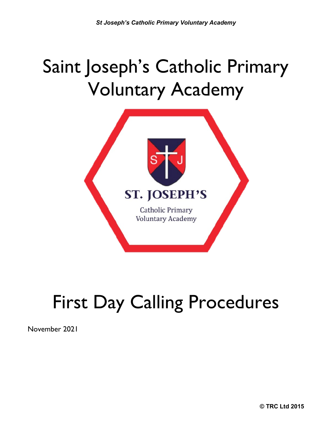## Saint Joseph's Catholic Primary Voluntary Academy



# First Day Calling Procedures

November 2021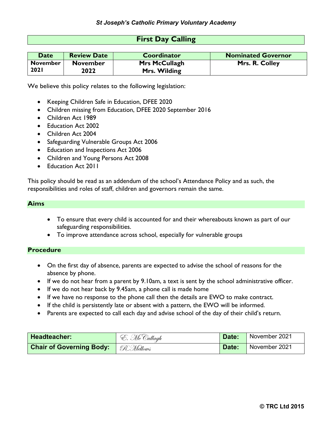#### **First Day Calling**

| <b>Date</b>     | <b>Review Date</b> | <b>Coordinator</b>   | <b>Nominated Governor</b> |
|-----------------|--------------------|----------------------|---------------------------|
| <b>November</b> | <b>November</b>    | <b>Mrs McCullagh</b> | Mrs. R. Colley            |
| <b>2021</b>     | 2022               | Mrs. Wilding         |                           |

We believe this policy relates to the following legislation:

- Keeping Children Safe in Education, DFEE 2020
- Children missing from Education, DFEE 2020 September 2016
- Children Act 1989
- Education Act 2002
- Children Act 2004
- Safeguarding Vulnerable Groups Act 2006
- Education and Inspections Act 2006
- Children and Young Persons Act 2008
- Education Act 2011

This policy should be read as an addendum of the school's Attendance Policy and as such, the responsibilities and roles of staff, children and governors remain the same.

#### **Aims**

- To ensure that every child is accounted for and their whereabouts known as part of our safeguarding responsibilities.
- To improve attendance across school, especially for vulnerable groups

#### **Procedure**

- On the first day of absence, parents are expected to advise the school of reasons for the absence by phone.
- If we do not hear from a parent by 9.10am, a text is sent by the school administrative officer.
- If we do not hear back by 9.45am, a phone call is made home
- If we have no response to the phone call then the details are EWO to make contract.
- If the child is persistently late or absent with a pattern, the EWO will be informed.
- Parents are expected to call each day and advise school of the day of their child's return.

| Headteacher:                                 | E. McCullagh | Date: | November 2021 |
|----------------------------------------------|--------------|-------|---------------|
| <b>Chair of Governing Body:</b>   R. Mellows |              | Date: | November 2021 |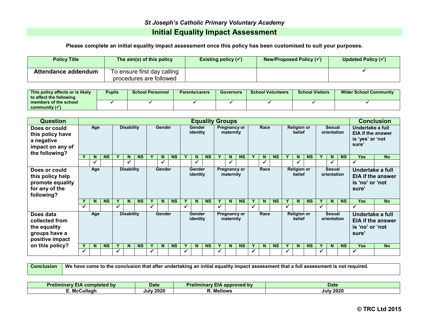### *St Joseph's Catholic Primary Voluntary Academy* **Initial Equality Impact Assessment**

**Please complete an initial equality impact assessment once this policy has been customised to suit your purposes.**

| <b>Policy Title</b> | The aim(s) of this policy   | Existing policy $(\checkmark)$ | New/Proposed Policy $(\checkmark)$ | Updated Policy $(\checkmark)$ |
|---------------------|-----------------------------|--------------------------------|------------------------------------|-------------------------------|
| Attendance addendum | To ensure first day calling |                                |                                    |                               |
|                     | procedures are followed     |                                |                                    |                               |

| This policy affects or is likely<br>to affect the following | <b>Pupils</b> | <b>School Personnel</b> | <b>Parents/carers</b> | Governors | <b>School Volunteers</b> | <b>School Visitors</b> | <b>Wider School Community</b> |  |  |
|-------------------------------------------------------------|---------------|-------------------------|-----------------------|-----------|--------------------------|------------------------|-------------------------------|--|--|
| members of the school<br>community $(\checkmark)$           |               |                         |                       |           |                          |                        |                               |  |  |

| <b>Question</b>                                                                       |                          | <b>Equality Groups</b> |           |                   |                   |           |                           |               |           |                                  |                    |           |                           |                           |           |                                      | <b>Conclusion</b> |           |                              |                              |           |                                                                          |                              |                                                                           |                                              |                   |
|---------------------------------------------------------------------------------------|--------------------------|------------------------|-----------|-------------------|-------------------|-----------|---------------------------|---------------|-----------|----------------------------------|--------------------|-----------|---------------------------|---------------------------|-----------|--------------------------------------|-------------------|-----------|------------------------------|------------------------------|-----------|--------------------------------------------------------------------------|------------------------------|---------------------------------------------------------------------------|----------------------------------------------|-------------------|
| Does or could<br>this policy have<br>a negative<br>impact on any of<br>the following? |                          | Age                    |           | <b>Disability</b> |                   |           |                           | <b>Gender</b> |           | Gender<br>identity               |                    |           | Pregnancy or<br>maternity |                           |           | Race<br><b>Religion or</b><br>belief |                   |           |                              |                              |           | <b>Sexual</b><br>orientation                                             |                              | Undertake a full<br><b>EIA if the answer</b><br>is 'yes' or 'not<br>sure' |                                              |                   |
|                                                                                       |                          | N                      | <b>NS</b> |                   | N                 | <b>NS</b> |                           | N.            | <b>NS</b> |                                  | N                  | <b>NS</b> |                           | N                         | <b>NS</b> | $\mathbf v$                          | N                 | <b>NS</b> |                              | N                            | <b>NS</b> |                                                                          | N                            | <b>NS</b>                                                                 | <b>Yes</b>                                   | <b>No</b>         |
|                                                                                       |                          | v                      |           |                   | ✔                 |           |                           |               |           |                                  |                    |           |                           |                           |           |                                      | M                 |           |                              | ✔                            |           |                                                                          |                              |                                                                           |                                              |                   |
| Does or could<br>this policy help<br>promote equality<br>for any of the<br>following? |                          | Age                    |           |                   | <b>Disability</b> |           |                           | Gender        |           |                                  | Gender<br>identity |           |                           | Pregnancy or<br>maternity |           |                                      | Race              |           |                              | <b>Religion or</b><br>belief |           |                                                                          | <b>Sexual</b><br>orientation |                                                                           | Undertake a full<br>is 'no' or 'not<br>sure' | EIA if the answer |
|                                                                                       |                          | N                      | <b>NS</b> | Y                 | $\mathbf N$       | <b>NS</b> |                           | N             | <b>NS</b> |                                  | N.                 | <b>NS</b> | Y                         | N.                        | <b>NS</b> | Y                                    | N                 | <b>NS</b> | Y                            | N.                           | <b>NS</b> |                                                                          | N                            | <b>NS</b>                                                                 | <b>Yes</b>                                   | <b>No</b>         |
|                                                                                       | ✓                        |                        |           | ✓                 |                   |           | ✓                         |               |           |                                  |                    |           | ✓                         |                           |           | $\checkmark$                         |                   |           | ✓                            |                              |           | $\checkmark$                                                             |                              |                                                                           |                                              |                   |
| Does data<br>collected from<br>the equality<br>groups have a<br>positive impact       | <b>Disability</b><br>Age |                        |           |                   | <b>Gender</b>     |           | <b>Gender</b><br>identity |               |           | <b>Pregnancy or</b><br>maternity |                    |           | Race                      |                           |           | <b>Religion or</b><br>belief         |                   |           | <b>Sexual</b><br>orientation |                              |           | Undertake a full<br><b>EIA if the answer</b><br>is 'no' or 'not<br>sure' |                              |                                                                           |                                              |                   |
| on this policy?                                                                       |                          | N                      | <b>NS</b> | Y                 | $\mathbf N$       | <b>NS</b> |                           | N             | <b>NS</b> |                                  | N.                 | <b>NS</b> |                           | N                         | <b>NS</b> | Y                                    | N                 | <b>NS</b> | Y                            | N                            | <b>NS</b> |                                                                          | N                            | <b>NS</b>                                                                 | <b>Yes</b>                                   | <b>No</b>         |
|                                                                                       | ✓                        |                        |           |                   |                   |           |                           |               |           |                                  |                    |           | √                         |                           |           |                                      |                   |           |                              |                              |           |                                                                          |                              |                                                                           |                                              |                   |

**Conclusion We have come to the conclusion that after undertaking an initial equality impact assessment that a full assessment is not required.**

| Pro<br>completed<br><b>by</b><br><b>Gliminar</b><br><b>EIA</b> | <b>Date</b>  | Preliminarv I<br>$\mathbf{I}$ by<br>approved<br>1А | <b>Date</b>  |
|----------------------------------------------------------------|--------------|----------------------------------------------------|--------------|
| ≿ullaɑh<br>$\blacksquare$<br><b>IVIC</b>                       | 2020<br>Julv | Mellows                                            | 2020<br>Julv |